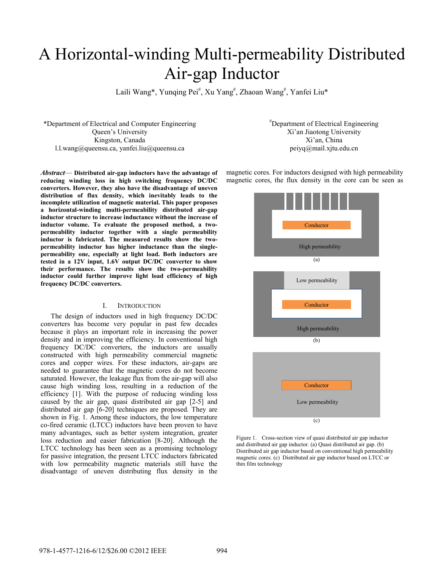# A Horizontal-winding Multi-permeability Distributed Air-gap Inductor

Laili Wang\*, Yunqing Pei<sup>#</sup>, Xu Yang<sup>#</sup>, Zhaoan Wang<sup>#</sup>, Yanfei Liu\*

\*Department of Electrical and Computer Engineering Queen's University Kingston, Canada l.l.wang@queensu.ca, yanfei.liu@queensu.ca

*Abstract*— **Distributed air-gap inductors have the advantage of reducing winding loss in high switching frequency DC/DC converters. However, they also have the disadvantage of uneven distribution of flux density, which inevitably leads to the incomplete utilization of magnetic material. This paper proposes a horizontal-winding multi-permeability distributed air-gap inductor structure to increase inductance without the increase of inductor volume. To evaluate the proposed method, a twopermeability inductor together with a single permeability inductor is fabricated. The measured results show the twopermeability inductor has higher inductance than the singlepermeability one, especially at light load. Both inductors are tested in a 12V input, 1.6V output DC/DC converter to show their performance. The results show the two-permeability inductor could further improve light load efficiency of high frequency DC/DC converters.** 

## I. INTRODUCTION

The design of inductors used in high frequency DC/DC converters has become very popular in past few decades because it plays an important role in increasing the power density and in improving the efficiency. In conventional high frequency DC/DC converters, the inductors are usually constructed with high permeability commercial magnetic cores and copper wires. For these inductors, air-gaps are needed to guarantee that the magnetic cores do not become saturated. However, the leakage flux from the air-gap will also cause high winding loss, resulting in a reduction of the efficiency [1]. With the purpose of reducing winding loss caused by the air gap, quasi distributed air gap [2-5] and distributed air gap [6-20] techniques are proposed. They are shown in Fig. 1. Among these inductors, the low temperature co-fired ceramic (LTCC) inductors have been proven to have many advantages, such as better system integration, greater loss reduction and easier fabrication [8-20]. Although the LTCC technology has been seen as a promising technology for passive integration, the present LTCC inductors fabricated with low permeability magnetic materials still have the disadvantage of uneven distributing flux density in the

# Department of Electrical Engineering Xi'an Jiaotong University Xi'an, China peiyq@mail.xjtu.edu.cn

magnetic cores. For inductors designed with high permeability magnetic cores, the flux density in the core can be seen as



Figure 1. Cross-section view of quasi distributed air gap inductor and distributed air gap inductor. (a) Quasi distributed air gap. (b) Distributed air gap inductor based on conventional high permeability magnetic cores. (c) Distributed air gap inductor based on LTCC or thin film technology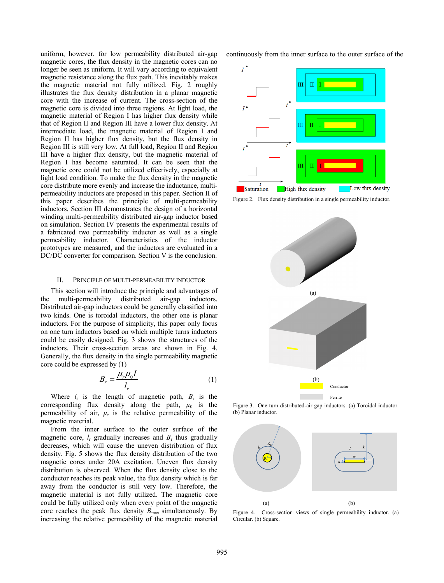uniform, however, for low permeability distributed air-gap magnetic cores, the flux density in the magnetic cores can no longer be seen as uniform. It will vary according to equivalent magnetic resistance along the flux path. This inevitably makes the magnetic material not fully utilized. Fig. 2 roughly illustrates the flux density distribution in a planar magnetic core with the increase of current. The cross-section of the magnetic core is divided into three regions. At light load, the magnetic material of Region I has higher flux density while that of Region II and Region III have a lower flux density. At intermediate load, the magnetic material of Region I and Region II has higher flux density, but the flux density in Region III is still very low. At full load, Region II and Region III have a higher flux density, but the magnetic material of Region I has become saturated. It can be seen that the magnetic core could not be utilized effectively, especially at light load condition. To make the flux density in the magnetic core distribute more evenly and increase the inductance, multipermeability inductors are proposed in this paper. Section II of this paper describes the principle of multi-permeability inductors, Section III demonstrates the design of a horizontal winding multi-permeability distributed air-gap inductor based on simulation. Section IV presents the experimental results of a fabricated two permeability inductor as well as a single permeability inductor. Characteristics of the inductor prototypes are measured, and the inductors are evaluated in a DC/DC converter for comparison. Section V is the conclusion.

## II. PRINCIPLE OF MULTI-PERMEABILITY INDUCTOR

This section will introduce the principle and advantages of the multi-permeability distributed air-gap inductors. Distributed air-gap inductors could be generally classified into two kinds. One is toroidal inductors, the other one is planar inductors. For the purpose of simplicity, this paper only focus on one turn inductors based on which multiple turns inductors could be easily designed. Fig. 3 shows the structures of the inductors. Their cross-section areas are shown in Fig. 4. Generally, the flux density in the single permeability magnetic core could be expressed by (1)

$$
B_r = \frac{\mu_r \mu_0 I}{l_r} \tag{1}
$$

Where  $l_r$  is the length of magnetic path,  $B_r$  is the corresponding flux density along the path,  $\mu_0$  is the permeability of air,  $\mu_r$  is the relative permeability of the magnetic material.

From the inner surface to the outer surface of the magnetic core,  $l_r$  gradually increases and  $B_r$  thus gradually decreases, which will cause the uneven distribution of flux density. Fig. 5 shows the flux density distribution of the two magnetic cores under 20A excitation. Uneven flux density distribution is observed. When the flux density close to the conductor reaches its peak value, the flux density which is far away from the conductor is still very low. Therefore, the magnetic material is not fully utilized. The magnetic core could be fully utilized only when every point of the magnetic core reaches the peak flux density  $B_{\text{max}}$  simultaneously. By increasing the relative permeability of the magnetic material continuously from the inner surface to the outer surface of the





 Figure 3. One turn distributed-air gap inductors. (a) Toroidal inductor. (b) Planar inductor.



Figure 4. Cross-section views of single permeability inductor. (a) Circular. (b) Square.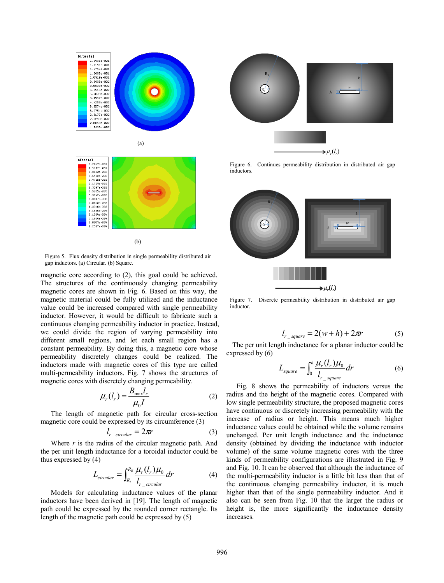

(a)



(b)

Figure 5. Flux density distribution in single permeability distributed air gap inductors. (a) Circular. (b) Square.

magnetic core according to (2), this goal could be achieved. The structures of the continuously changing permeability magnetic cores are shown in Fig. 6. Based on this way, the magnetic material could be fully utilized and the inductance value could be increased compared with single permeability inductor. However, it would be difficult to fabricate such a continuous changing permeability inductor in practice. Instead, we could divide the region of varying permeability into different small regions, and let each small region has a constant permeability. By doing this, a magnetic core whose permeability discretely changes could be realized. The inductors made with magnetic cores of this type are called multi-permeability inductors. Fig. 7 shows the structures of magnetic cores with discretely changing permeability.

$$
\mu_r(l_r) = \frac{B_{\text{max}}l_r}{\mu_0 I} \tag{2}
$$

The length of magnetic path for circular cross-section magnetic core could be expressed by its circumference (3)

$$
l_{r\_circular} = 2\pi r \tag{3}
$$

Where *r* is the radius of the circular magnetic path. And the per unit length inductance for a toroidal inductor could be thus expressed by (4)

$$
L_{circular} = \int_{R_I}^{R_E} \frac{\mu_r(l_r)\mu_0}{l_{r\_circular}} dr \tag{4}
$$

Models for calculating inductance values of the planar inductors have been derived in [19]. The length of magnetic path could be expressed by the rounded corner rectangle. Its length of the magnetic path could be expressed by (5)



Figure 6. Continues permeability distribution in distributed air gap inductors.



 $\Rightarrow \mu_r(l_r)$ Figure 7. Discrete permeability distribution in distributed air gap inductor.

$$
l_{r\_square} = 2(w+h) + 2\pi r \tag{5}
$$

The per unit length inductance for a planar inductor could be expressed by (6)

$$
L_{square} = \int_0^k \frac{\mu_r(l_r)\mu_0}{l_{r_s square}} dr
$$
 (6)

Fig. 8 shows the permeability of inductors versus the radius and the height of the magnetic cores. Compared with low single permeability structure, the proposed magnetic cores have continuous or discretely increasing permeability with the increase of radius or height. This means much higher inductance values could be obtained while the volume remains unchanged. Per unit length inductance and the inductance density (obtained by dividing the inductance with inductor volume) of the same volume magnetic cores with the three kinds of permeability configurations are illustrated in Fig. 9 and Fig. 10. It can be observed that although the inductance of the multi-permeability inductor is a little bit less than that of the continuous changing permeability inductor, it is much higher than that of the single permeability inductor. And it also can be seen from Fig. 10 that the larger the radius or height is, the more significantly the inductance density increases.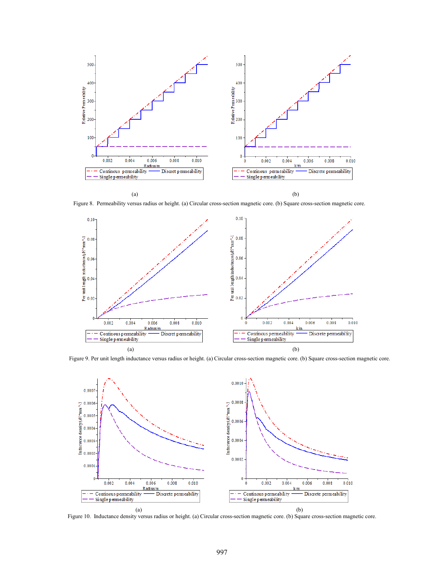

Figure 8. Permeability versus radius or height. (a) Circular cross-section magnetic core. (b) Square cross-section magnetic core.



Figure 9. Per unit length inductance versus radius or height. (a) Circular cross-section magnetic core. (b) Square cross-section magnetic core.



Figure 10. Inductance density versus radius or height. (a) Circular cross-section magnetic core. (b) Square cross-section magnetic core.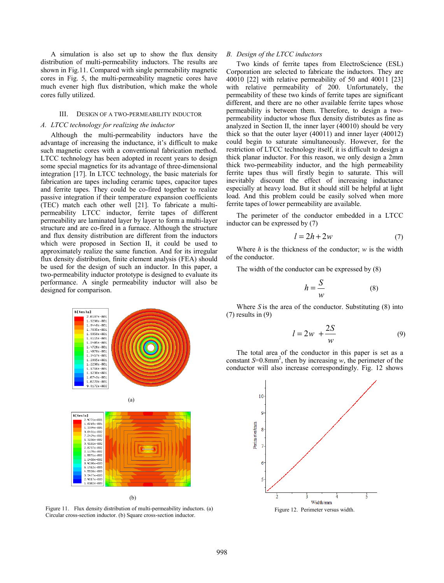A simulation is also set up to show the flux density distribution of multi-permeability inductors. The results are shown in Fig.11. Compared with single permeability magnetic cores in Fig. 5, the multi-permeability magnetic cores have much evener high flux distribution, which make the whole cores fully utilized.

#### III. DESIGN OF A TWO-PERMEABILITY INDUCTOR

## *A. LTCC technology for realizing the inductor*

Although the multi-permeability inductors have the advantage of increasing the inductance, it's difficult to make such magnetic cores with a conventional fabrication method. LTCC technology has been adopted in recent years to design some special magnetics for its advantage of three-dimensional integration [17]. In LTCC technology, the basic materials for fabrication are tapes including ceramic tapes, capacitor tapes and ferrite tapes. They could be co-fired together to realize passive integration if their temperature expansion coefficients (TEC) match each other well [21]. To fabricate a multipermeability LTCC inductor, ferrite tapes of different permeability are laminated layer by layer to form a multi-layer structure and are co-fired in a furnace. Although the structure and flux density distribution are different from the inductors which were proposed in Section II, it could be used to approximately realize the same function. And for its irregular flux density distribution, finite element analysis (FEA) should be used for the design of such an inductor. In this paper, a two-permeability inductor prototype is designed to evaluate its performance. A single permeability inductor will also be designed for comparison.



Figure 11. Flux density distribution of multi-permeability inductors. (a) Circular cross-section inductor. (b) Square cross-section inductor.

## *B. Design of the LTCC inductors*

Two kinds of ferrite tapes from ElectroScience (ESL) Corporation are selected to fabricate the inductors. They are 40010 [22] with relative permeability of 50 and 40011 [23] with relative permeability of 200. Unfortunately, the permeability of these two kinds of ferrite tapes are significant different, and there are no other available ferrite tapes whose permeability is between them. Therefore, to design a twopermeability inductor whose flux density distributes as fine as analyzed in Section II, the inner layer (40010) should be very thick so that the outer layer (40011) and inner layer (40012) could begin to saturate simultaneously. However, for the restriction of LTCC technology itself, it is difficult to design a thick planar inductor. For this reason, we only design a 2mm thick two-permeability inductor, and the high permeability ferrite tapes thus will firstly begin to saturate. This will inevitably discount the effect of increasing inductance especially at heavy load. But it should still be helpful at light load. And this problem could be easily solved when more ferrite tapes of lower permeability are available.

The perimeter of the conductor embedded in a LTCC inductor can be expressed by (7)

$$
l = 2h + 2w \tag{7}
$$

Where *h* is the thickness of the conductor; *w* is the width of the conductor.

The width of the conductor can be expressed by (8)

$$
h = \frac{S}{w} \tag{8}
$$

Where *S* is the area of the conductor. Substituting (8) into (7) results in (9)

$$
l = 2w + \frac{2S}{w} \tag{9}
$$

The total area of the conductor in this paper is set as a constant  $S=0.8$ mm<sup>2</sup>, then by increasing *w*, the perimeter of the conductor will also increase correspondingly. Fig. 12 shows

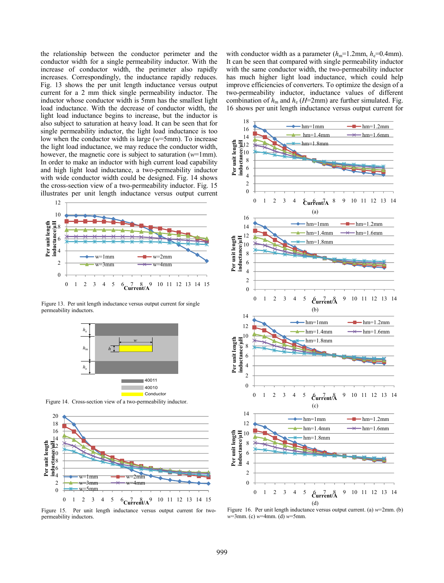the relationship between the conductor perimeter and the conductor width for a single permeability inductor. With the increase of conductor width, the perimeter also rapidly increases. Correspondingly, the inductance rapidly reduces. Fig. 13 shows the per unit length inductance versus output current for a 2 mm thick single permeability inductor. The inductor whose conductor width is 5mm has the smallest light load inductance. With the decrease of conductor width, the light load inductance begins to increase, but the inductor is also subject to saturation at heavy load. It can be seen that for single permeability inductor, the light load inductance is too low when the conductor width is large (*w*=5mm). To increase the light load inductance, we may reduce the conductor width, however, the magnetic core is subject to saturation (*w*=1mm). In order to make an inductor with high current load capability and high light load inductance, a two-permeability inductor with wide conductor width could be designed. Fig. 14 shows the cross-section view of a two-permeability inductor. Fig. 15 illustrates per unit length inductance versus output current



Figure 13. Per unit length inductance versus output current for single permeability inductors.



Figure 14. Cross-section view of a two-permeability inductor.



Figure 15. Per unit length inductance versus output current for twopermeability inductors.

with conductor width as a parameter  $(h_m=1.2 \text{mm}, h_e=0.4 \text{mm})$ . It can be seen that compared with single permeability inductor with the same conductor width, the two-permeability inductor has much higher light load inductance, which could help improve efficiencies of converters. To optimize the design of a two-permeability inductor, inductance values of different combination of  $h_m$  and  $h_e$  (*H*=2mm) are further simulated. Fig. 16 shows per unit length inductance versus output current for



Figure 16. Per unit length inductance versus output current. (a) *w*=2mm. (b) *w*=3mm. (c) *w*=4mm. (d) *w*=5mm.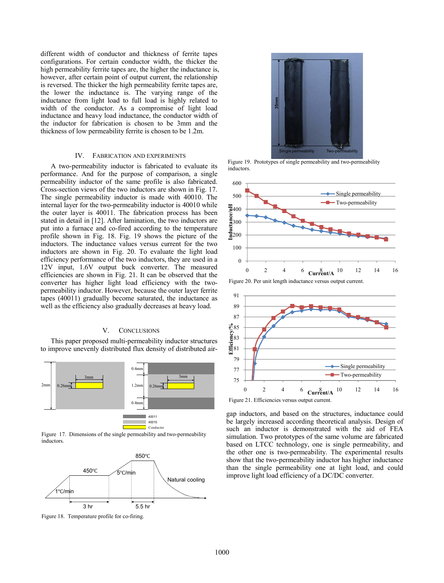different width of conductor and thickness of ferrite tapes configurations. For certain conductor width, the thicker the high permeability ferrite tapes are, the higher the inductance is, however, after certain point of output current, the relationship is reversed. The thicker the high permeability ferrite tapes are, the lower the inductance is. The varying range of the inductance from light load to full load is highly related to width of the conductor. As a compromise of light load inductance and heavy load inductance, the conductor width of the inductor for fabrication is chosen to be 3mm and the thickness of low permeability ferrite is chosen to be 1.2m.

## IV. FABRICATION AND EXPERIMENTS

A two-permeability inductor is fabricated to evaluate its performance. And for the purpose of comparison, a single permeability inductor of the same profile is also fabricated. Cross-section views of the two inductors are shown in Fig. 17. The single permeability inductor is made with 40010. The internal layer for the two-permeability inductor is 40010 while the outer layer is 40011. The fabrication process has been stated in detail in [12]. After lamination, the two inductors are put into a furnace and co-fired according to the temperature profile shown in Fig. 18. Fig. 19 shows the picture of the inductors. The inductance values versus current for the two inductors are shown in Fig. 20. To evaluate the light load efficiency performance of the two inductors, they are used in a 12V input, 1.6V output buck converter. The measured efficiencies are shown in Fig. 21. It can be observed that the converter has higher light load efficiency with the twopermeability inductor. However, because the outer layer ferrite tapes (40011) gradually become saturated, the inductance as well as the efficiency also gradually decreases at heavy load.

# V. CONCLUSIONS

This paper proposed multi-permeability inductor structures to improve unevenly distributed flux density of distributed air-



Figure 17. Dimensions of the single permeability and two-permeability inductors.





 Figure 19. Prototypes of single permeability and two-permeability inductors.



Figure 20. Per unit length inductance versus output current.



gap inductors, and based on the structures, inductance could be largely increased according theoretical analysis. Design of such an inductor is demonstrated with the aid of FEA simulation. Two prototypes of the same volume are fabricated based on LTCC technology, one is single permeability, and the other one is two-permeability. The experimental results show that the two-permeability inductor has higher inductance than the single permeability one at light load, and could improve light load efficiency of a DC/DC converter.